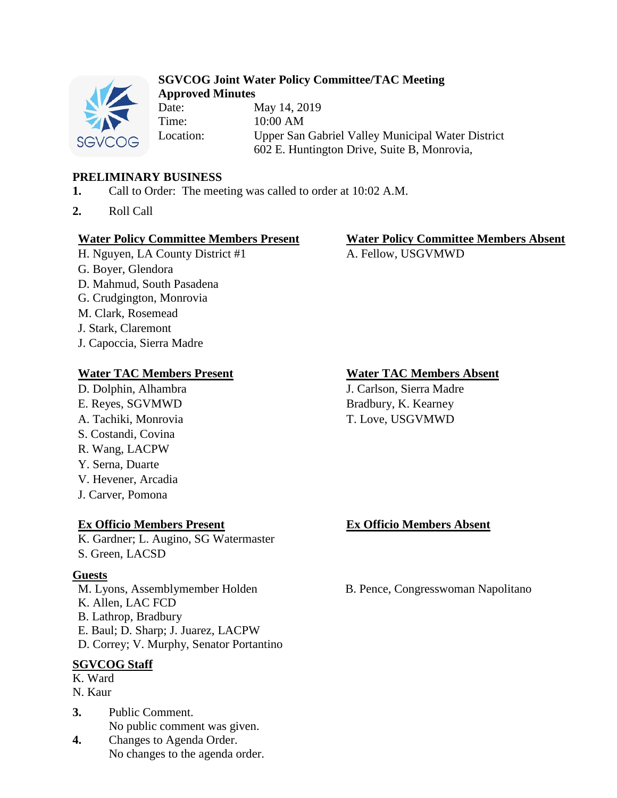

## **SGVCOG Joint Water Policy Committee/TAC Meeting Approved Minutes**

Date: May 14, 2019 Time: 10:00 AM Location: Upper San Gabriel Valley Municipal Water District 602 E. Huntington Drive, Suite B, Monrovia,

## **PRELIMINARY BUSINESS**

- **1.** Call to Order: The meeting was called to order at 10:02 A.M.
- **2.** Roll Call

## **Water Policy Committee Members Present Water Policy Committee Members Absent**

- H. Nguyen, LA County District #1 A. Fellow, USGVMWD
- G. Boyer, Glendora
- D. Mahmud, South Pasadena
- G. Crudgington, Monrovia
- M. Clark, Rosemead
- J. Stark, Claremont
- J. Capoccia, Sierra Madre

# **Water TAC Members Present Water TAC Members Absent**

- 
- 
- 
- S. Costandi, Covina
- R. Wang, LACPW
- Y. Serna, Duarte
- V. Hevener, Arcadia
- J. Carver, Pomona

# **Ex Officio Members Present Ex Officio Members Absent**

K. Gardner; L. Augino, SG Watermaster S. Green, LACSD

# **Guests**

M. Lyons, Assemblymember Holden B. Pence, Congresswoman Napolitano K. Allen, LAC FCD B. Lathrop, Bradbury E. Baul; D. Sharp; J. Juarez, LACPW D. Correy; V. Murphy, Senator Portantino

# **SGVCOG Staff**

- K. Ward
- N. Kaur
- **3.** Public Comment. No public comment was given.
- **4.** Changes to Agenda Order. No changes to the agenda order.

D. Dolphin, Alhambra J. Carlson, Sierra Madre E. Reyes, SGVMWD Bradbury, K. Kearney A. Tachiki, Monrovia T. Love, USGVMWD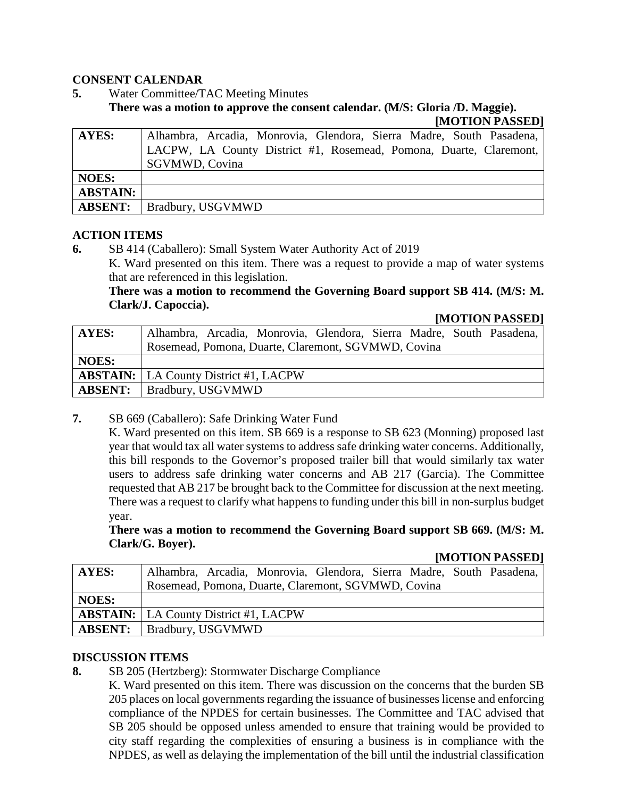### **CONSENT CALENDAR**

**5.** Water Committee/TAC Meeting Minutes

**There was a motion to approve the consent calendar. (M/S: Gloria /D. Maggie).**

**[MOTION PASSED]**

| AYES:           | Alhambra, Arcadia, Monrovia, Glendora, Sierra Madre, South Pasadena, |
|-----------------|----------------------------------------------------------------------|
|                 | LACPW, LA County District #1, Rosemead, Pomona, Duarte, Claremont,   |
|                 | <b>SGVMWD, Covina</b>                                                |
| <b>NOES:</b>    |                                                                      |
| <b>ABSTAIN:</b> |                                                                      |
| <b>ABSENT:</b>  | <b>Bradbury, USGVMWD</b>                                             |

### **ACTION ITEMS**

**6.** SB 414 (Caballero): Small System Water Authority Act of 2019

K. Ward presented on this item. There was a request to provide a map of water systems that are referenced in this legislation.

**There was a motion to recommend the Governing Board support SB 414. (M/S: M. Clark/J. Capoccia).**

### **[MOTION PASSED]**

| <b>AYES:</b> | Alhambra, Arcadia, Monrovia, Glendora, Sierra Madre, South Pasadena, |  |
|--------------|----------------------------------------------------------------------|--|
|              | Rosemead, Pomona, Duarte, Claremont, SGVMWD, Covina                  |  |
| <b>NOES:</b> |                                                                      |  |
|              | <b>ABSTAIN:</b>   LA County District #1, LACPW                       |  |
|              | <b>ABSENT:</b>   Bradbury, USGVMWD                                   |  |

**7.** SB 669 (Caballero): Safe Drinking Water Fund

K. Ward presented on this item. SB 669 is a response to SB 623 (Monning) proposed last year that would tax all water systems to address safe drinking water concerns. Additionally, this bill responds to the Governor's proposed trailer bill that would similarly tax water users to address safe drinking water concerns and AB 217 (Garcia). The Committee requested that AB 217 be brought back to the Committee for discussion at the next meeting. There was a request to clarify what happens to funding under this bill in non-surplus budget year.

**There was a motion to recommend the Governing Board support SB 669. (M/S: M. Clark/G. Boyer).**

**[MOTION PASSED]**

| <b>AYES:</b> | Alhambra, Arcadia, Monrovia, Glendora, Sierra Madre, South Pasadena, |
|--------------|----------------------------------------------------------------------|
|              | Rosemead, Pomona, Duarte, Claremont, SGVMWD, Covina                  |
| <b>NOES:</b> |                                                                      |
|              | <b>ABSTAIN:</b>   LA County District #1, LACPW                       |
|              | <b>ABSENT:</b>   Bradbury, USGVMWD                                   |

### **DISCUSSION ITEMS**

**8.** SB 205 (Hertzberg): Stormwater Discharge Compliance

K. Ward presented on this item. There was discussion on the concerns that the burden SB 205 places on local governments regarding the issuance of businesses license and enforcing compliance of the NPDES for certain businesses. The Committee and TAC advised that SB 205 should be opposed unless amended to ensure that training would be provided to city staff regarding the complexities of ensuring a business is in compliance with the NPDES, as well as delaying the implementation of the bill until the industrial classification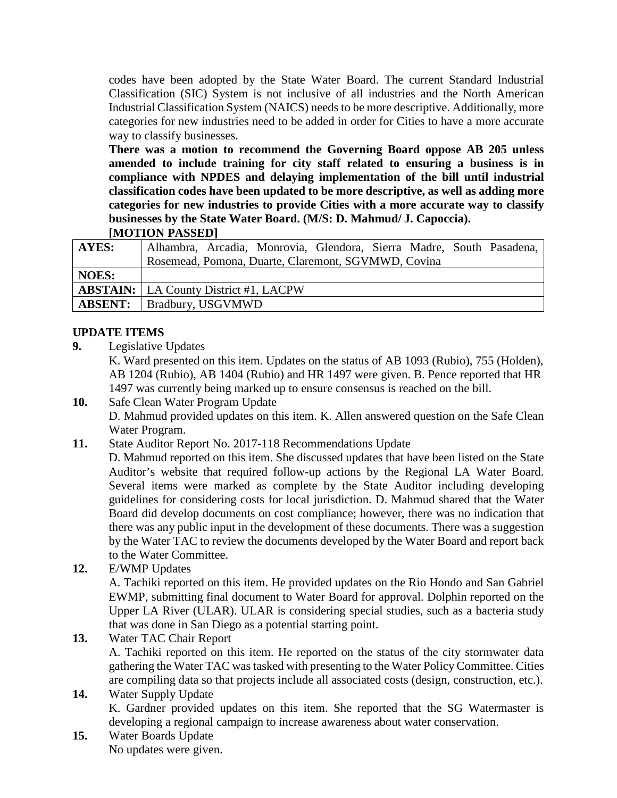codes have been adopted by the State Water Board. The current Standard Industrial Classification (SIC) System is not inclusive of all industries and the North American Industrial Classification System (NAICS) needs to be more descriptive. Additionally, more categories for new industries need to be added in order for Cities to have a more accurate way to classify businesses.

**There was a motion to recommend the Governing Board oppose AB 205 unless amended to include training for city staff related to ensuring a business is in compliance with NPDES and delaying implementation of the bill until industrial classification codes have been updated to be more descriptive, as well as adding more categories for new industries to provide Cities with a more accurate way to classify businesses by the State Water Board. (M/S: D. Mahmud/ J. Capoccia). [MOTION PASSED]**

| <b>AYES:</b> | Alhambra, Arcadia, Monrovia, Glendora, Sierra Madre, South Pasadena, |
|--------------|----------------------------------------------------------------------|
|              | Rosemead, Pomona, Duarte, Claremont, SGVMWD, Covina                  |
| <b>NOES:</b> |                                                                      |
|              | <b>ABSTAIN:</b>   LA County District #1, LACPW                       |
|              | <b>ABSENT:</b>   Bradbury, USGVMWD                                   |

## **UPDATE ITEMS**

**9.** Legislative Updates

K. Ward presented on this item. Updates on the status of AB 1093 (Rubio), 755 (Holden), AB 1204 (Rubio), AB 1404 (Rubio) and HR 1497 were given. B. Pence reported that HR 1497 was currently being marked up to ensure consensus is reached on the bill.

- **10.** Safe Clean Water Program Update D. Mahmud provided updates on this item. K. Allen answered question on the Safe Clean Water Program.
- **11.** State Auditor Report No. 2017-118 Recommendations Update
	- D. Mahmud reported on this item. She discussed updates that have been listed on the State Auditor's website that required follow-up actions by the Regional LA Water Board. Several items were marked as complete by the State Auditor including developing guidelines for considering costs for local jurisdiction. D. Mahmud shared that the Water Board did develop documents on cost compliance; however, there was no indication that there was any public input in the development of these documents. There was a suggestion by the Water TAC to review the documents developed by the Water Board and report back to the Water Committee.
- **12.** E/WMP Updates

A. Tachiki reported on this item. He provided updates on the Rio Hondo and San Gabriel EWMP, submitting final document to Water Board for approval. Dolphin reported on the Upper LA River (ULAR). ULAR is considering special studies, such as a bacteria study that was done in San Diego as a potential starting point.

**13.** Water TAC Chair Report

A. Tachiki reported on this item. He reported on the status of the city stormwater data gathering the Water TAC wastasked with presenting to the Water Policy Committee. Cities are compiling data so that projects include all associated costs (design, construction, etc.).

- **14.** Water Supply Update K. Gardner provided updates on this item. She reported that the SG Watermaster is developing a regional campaign to increase awareness about water conservation.
- **15.** Water Boards Update No updates were given.